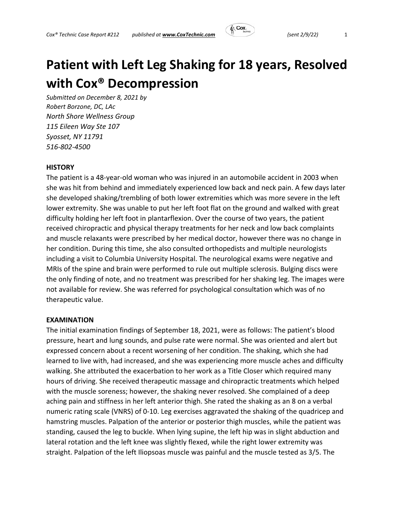

# **Patient with Left Leg Shaking for 18 years, Resolved with Cox® Decompression**

*Submitted on December 8, 2021 by Robert Borzone, DC, LAc North Shore Wellness Group 115 Eileen Way Ste 107 Syosset, NY 11791 516‐802‐4500* 

# **HISTORY**

The patient is a 48‐year‐old woman who was injured in an automobile accident in 2003 when she was hit from behind and immediately experienced low back and neck pain. A few days later she developed shaking/trembling of both lower extremities which was more severe in the left lower extremity. She was unable to put her left foot flat on the ground and walked with great difficulty holding her left foot in plantarflexion. Over the course of two years, the patient received chiropractic and physical therapy treatments for her neck and low back complaints and muscle relaxants were prescribed by her medical doctor, however there was no change in her condition. During this time, she also consulted orthopedists and multiple neurologists including a visit to Columbia University Hospital. The neurological exams were negative and MRIs of the spine and brain were performed to rule out multiple sclerosis. Bulging discs were the only finding of note, and no treatment was prescribed for her shaking leg. The images were not available for review. She was referred for psychological consultation which was of no therapeutic value.

#### **EXAMINATION**

The initial examination findings of September 18, 2021, were as follows: The patient's blood pressure, heart and lung sounds, and pulse rate were normal. She was oriented and alert but expressed concern about a recent worsening of her condition. The shaking, which she had learned to live with, had increased, and she was experiencing more muscle aches and difficulty walking. She attributed the exacerbation to her work as a Title Closer which required many hours of driving. She received therapeutic massage and chiropractic treatments which helped with the muscle soreness; however, the shaking never resolved. She complained of a deep aching pain and stiffness in her left anterior thigh. She rated the shaking as an 8 on a verbal numeric rating scale (VNRS) of 0‐10. Leg exercises aggravated the shaking of the quadricep and hamstring muscles. Palpation of the anterior or posterior thigh muscles, while the patient was standing, caused the leg to buckle. When lying supine, the left hip was in slight abduction and lateral rotation and the left knee was slightly flexed, while the right lower extremity was straight. Palpation of the left Iliopsoas muscle was painful and the muscle tested as 3/5. The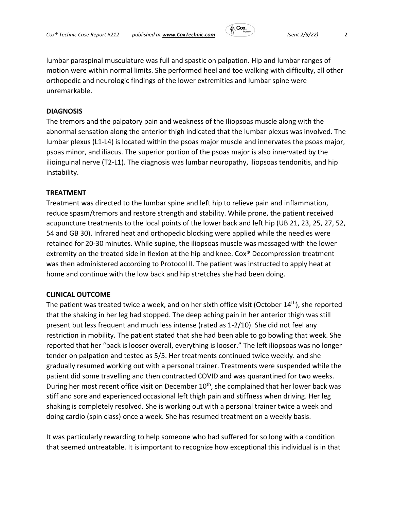

lumbar paraspinal musculature was full and spastic on palpation. Hip and lumbar ranges of motion were within normal limits. She performed heel and toe walking with difficulty, all other orthopedic and neurologic findings of the lower extremities and lumbar spine were unremarkable.

## **DIAGNOSIS**

The tremors and the palpatory pain and weakness of the Iliopsoas muscle along with the abnormal sensation along the anterior thigh indicated that the lumbar plexus was involved. The lumbar plexus (L1‐L4) is located within the psoas major muscle and innervates the psoas major, psoas minor, and iliacus. The superior portion of the psoas major is also innervated by the ilioinguinal nerve (T2‐L1). The diagnosis was lumbar neuropathy, iliopsoas tendonitis, and hip instability.

# **TREATMENT**

Treatment was directed to the lumbar spine and left hip to relieve pain and inflammation, reduce spasm/tremors and restore strength and stability. While prone, the patient received acupuncture treatments to the local points of the lower back and left hip (UB 21, 23, 25, 27, 52, 54 and GB 30). Infrared heat and orthopedic blocking were applied while the needles were retained for 20‐30 minutes. While supine, the iliopsoas muscle was massaged with the lower extremity on the treated side in flexion at the hip and knee. Cox® Decompression treatment was then administered according to Protocol II. The patient was instructed to apply heat at home and continue with the low back and hip stretches she had been doing.

### **CLINICAL OUTCOME**

The patient was treated twice a week, and on her sixth office visit (October 14<sup>th</sup>), she reported that the shaking in her leg had stopped. The deep aching pain in her anterior thigh was still present but less frequent and much less intense (rated as 1‐2/10). She did not feel any restriction in mobility. The patient stated that she had been able to go bowling that week. She reported that her "back is looser overall, everything is looser." The left iliopsoas was no longer tender on palpation and tested as 5/5. Her treatments continued twice weekly. and she gradually resumed working out with a personal trainer. Treatments were suspended while the patient did some travelling and then contracted COVID and was quarantined for two weeks. During her most recent office visit on December 10<sup>th</sup>, she complained that her lower back was stiff and sore and experienced occasional left thigh pain and stiffness when driving. Her leg shaking is completely resolved. She is working out with a personal trainer twice a week and doing cardio (spin class) once a week. She has resumed treatment on a weekly basis.

It was particularly rewarding to help someone who had suffered for so long with a condition that seemed untreatable. It is important to recognize how exceptional this individual is in that